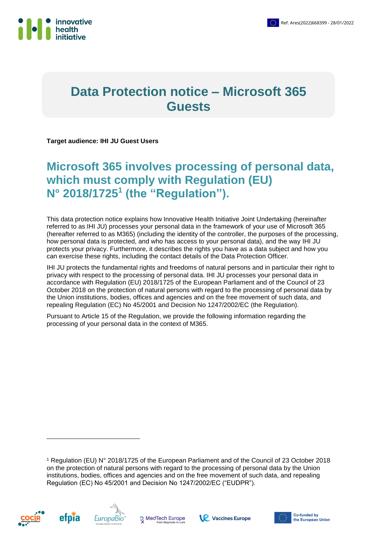

# **Data Protection notice – Microsoft 365 Guests**

**Target audience: IHI JU Guest Users**

# **Microsoft 365 involves processing of personal data, which must comply with Regulation (EU) N° 2018/1725<sup>1</sup> (the "Regulation").**

This data protection notice explains how Innovative Health Initiative Joint Undertaking (hereinafter referred to as IHI JU) processes your personal data in the framework of your use of Microsoft 365 (hereafter referred to as M365) (including the identity of the controller, the purposes of the processing, how personal data is protected, and who has access to your personal data), and the way IHI JU protects your privacy. Furthermore, it describes the rights you have as a data subject and how you can exercise these rights, including the contact details of the Data Protection Officer.

IHI JU protects the fundamental rights and freedoms of natural persons and in particular their right to privacy with respect to the processing of personal data. IHI JU processes your personal data in accordance with Regulation (EU) 2018/1725 of the European Parliament and of the Council of 23 October 2018 on the protection of natural persons with regard to the processing of personal data by the Union institutions, bodies, offices and agencies and on the free movement of such data, and repealing Regulation (EC) No 45/2001 and Decision No 1247/2002/EC (the Regulation).

Pursuant to Article 15 of the Regulation, we provide the following information regarding the processing of your personal data in the context of M365.

<sup>1</sup> Regulation (EU) N° 2018/1725 of the European Parliament and of the Council of 23 October 2018 on the protection of natural persons with regard to the processing of personal data by the Union institutions, bodies, offices and agencies and on the free movement of such data, and repealing Regulation (EC) No 45/2001 and Decision No 1247/2002/EC ("EUDPR").



-





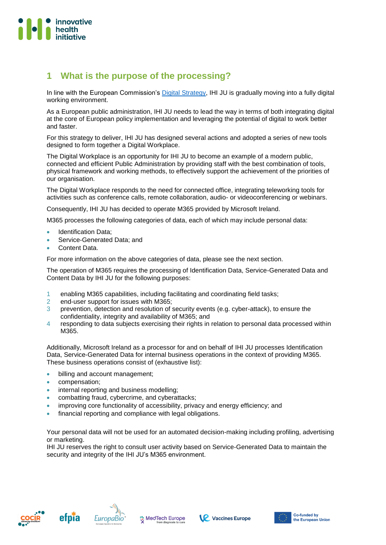

## **1 What is the purpose of the processing?**

In line with the European Commission's [Digital Strategy,](https://ec.europa.eu/info/publications/EC-Digital-Strategy_en) IHI JU is gradually moving into a fully digital working environment.

As a European public administration, IHI JU needs to lead the way in terms of both integrating digital at the core of European policy implementation and leveraging the potential of digital to work better and faster.

For this strategy to deliver, IHI JU has designed several actions and adopted a series of new tools designed to form together a Digital Workplace.

The Digital Workplace is an opportunity for IHI JU to become an example of a modern public, connected and efficient Public Administration by providing staff with the best combination of tools, physical framework and working methods, to effectively support the achievement of the priorities of our organisation.

The Digital Workplace responds to the need for connected office, integrating teleworking tools for activities such as conference calls, remote collaboration, audio- or videoconferencing or webinars.

Consequently, IHI JU has decided to operate M365 provided by Microsoft Ireland.

M365 processes the following categories of data, each of which may include personal data:

- Identification Data;
- Service-Generated Data; and
- Content Data.

For more information on the above categories of data, please see the next section.

The operation of M365 requires the processing of Identification Data, Service-Generated Data and Content Data by IHI JU for the following purposes:

- 1 enabling M365 capabilities, including facilitating and coordinating field tasks;
- 2 end-user support for issues with M365;
- 3 prevention, detection and resolution of security events (e.g. cyber-attack), to ensure the confidentiality, integrity and availability of M365; and
- 4 responding to data subjects exercising their rights in relation to personal data processed within M365

Additionally, Microsoft Ireland as a processor for and on behalf of IHI JU processes Identification Data, Service-Generated Data for internal business operations in the context of providing M365. These business operations consist of (exhaustive list):

- billing and account management;
- compensation;
- internal reporting and business modelling;
- combatting fraud, cybercrime, and cyberattacks;
- improving core functionality of accessibility, privacy and energy efficiency; and
- financial reporting and compliance with legal obligations.

Your personal data will not be used for an automated decision-making including profiling, advertising or marketing.

IHI JU reserves the right to consult user activity based on Service-Generated Data to maintain the security and integrity of the IHI JU's M365 environment.







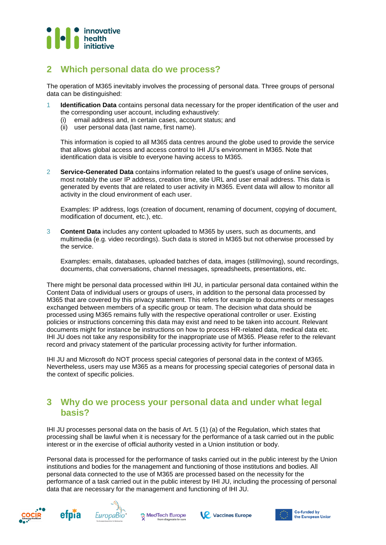

### **2 Which personal data do we process?**

The operation of M365 inevitably involves the processing of personal data. Three groups of personal data can be distinguished:

- 1 **Identification Data** contains personal data necessary for the proper identification of the user and the corresponding user account, including exhaustively:
	- (i) email address and, in certain cases, account status; and
	- (ii) user personal data (last name, first name).

This information is copied to all M365 data centres around the globe used to provide the service that allows global access and access control to IHI JU's environment in M365. Note that identification data is visible to everyone having access to M365.

2 **Service-Generated Data** contains information related to the guest's usage of online services, most notably the user IP address, creation time, site URL and user email address. This data is generated by events that are related to user activity in M365. Event data will allow to monitor all activity in the cloud environment of each user.

Examples: IP address, logs (creation of document, renaming of document, copying of document, modification of document, etc.), etc.

3 **Content Data** includes any content uploaded to M365 by users, such as documents, and multimedia (e.g. video recordings). Such data is stored in M365 but not otherwise processed by the service.

Examples: emails, databases, uploaded batches of data, images (still/moving), sound recordings, documents, chat conversations, channel messages, spreadsheets, presentations, etc.

There might be personal data processed within IHI JU, in particular personal data contained within the Content Data of individual users or groups of users, in addition to the personal data processed by M365 that are covered by this privacy statement. This refers for example to documents or messages exchanged between members of a specific group or team. The decision what data should be processed using M365 remains fully with the respective operational controller or user. Existing policies or instructions concerning this data may exist and need to be taken into account. Relevant documents might for instance be instructions on how to process HR-related data, medical data etc. IHI JU does not take any responsibility for the inappropriate use of M365. Please refer to the relevant record and privacy statement of the particular processing activity for further information.

IHI JU and Microsoft do NOT process special categories of personal data in the context of M365. Nevertheless, users may use M365 as a means for processing special categories of personal data in the context of specific policies.

### **3 Why do we process your personal data and under what legal basis?**

IHI JU processes personal data on the basis of Art. 5 (1) (a) of the Regulation, which states that processing shall be lawful when it is necessary for the performance of a task carried out in the public interest or in the exercise of official authority vested in a Union institution or body.

Personal data is processed for the performance of tasks carried out in the public interest by the Union institutions and bodies for the management and functioning of those institutions and bodies. All personal data connected to the use of M365 are processed based on the necessity for the performance of a task carried out in the public interest by IHI JU, including the processing of personal data that are necessary for the management and functioning of IHI JU.









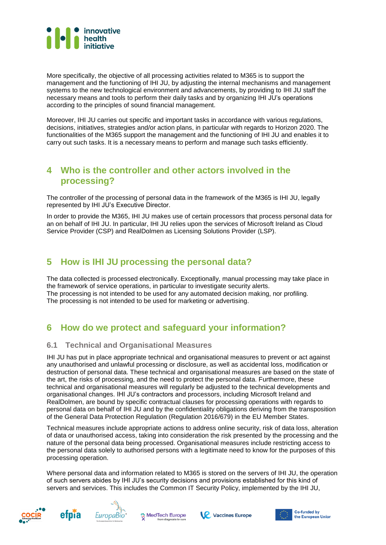

More specifically, the objective of all processing activities related to M365 is to support the management and the functioning of IHI JU, by adjusting the internal mechanisms and management systems to the new technological environment and advancements, by providing to IHI JU staff the necessary means and tools to perform their daily tasks and by organizing IHI JU's operations according to the principles of sound financial management.

Moreover, IHI JU carries out specific and important tasks in accordance with various regulations, decisions, initiatives, strategies and/or action plans, in particular with regards to Horizon 2020. The functionalities of the M365 support the management and the functioning of IHI JU and enables it to carry out such tasks. It is a necessary means to perform and manage such tasks efficiently.

#### **4 Who is the controller and other actors involved in the processing?**

The controller of the processing of personal data in the framework of the M365 is IHI JU, legally represented by IHI JU's Executive Director.

In order to provide the M365, IHI JU makes use of certain processors that process personal data for an on behalf of IHI JU. In particular, IHI JU relies upon the services of Microsoft Ireland as Cloud Service Provider (CSP) and RealDolmen as Licensing Solutions Provider (LSP).

### **5 How is IHI JU processing the personal data?**

The data collected is processed electronically. Exceptionally, manual processing may take place in the framework of service operations, in particular to investigate security alerts. The processing is not intended to be used for any automated decision making, nor profiling. The processing is not intended to be used for marketing or advertising.

## **6 How do we protect and safeguard your information?**

#### **6.1 Technical and Organisational Measures**

IHI JU has put in place appropriate technical and organisational measures to prevent or act against any unauthorised and unlawful processing or disclosure, as well as accidental loss, modification or destruction of personal data. These technical and organisational measures are based on the state of the art, the risks of processing, and the need to protect the personal data. Furthermore, these technical and organisational measures will regularly be adjusted to the technical developments and organisational changes. IHI JU's contractors and processors, including Microsoft Ireland and RealDolmen, are bound by specific contractual clauses for processing operations with regards to personal data on behalf of IHI JU and by the confidentiality obligations deriving from the transposition of the General Data Protection Regulation (Regulation 2016/679) in the EU Member States.

Technical measures include appropriate actions to address online security, risk of data loss, alteration of data or unauthorised access, taking into consideration the risk presented by the processing and the nature of the personal data being processed. Organisational measures include restricting access to the personal data solely to authorised persons with a legitimate need to know for the purposes of this processing operation.

Where personal data and information related to M365 is stored on the servers of IHI JU, the operation of such servers abides by IHI JU's security decisions and provisions established for this kind of servers and services. This includes the Common IT Security Policy, implemented by the IHI JU,









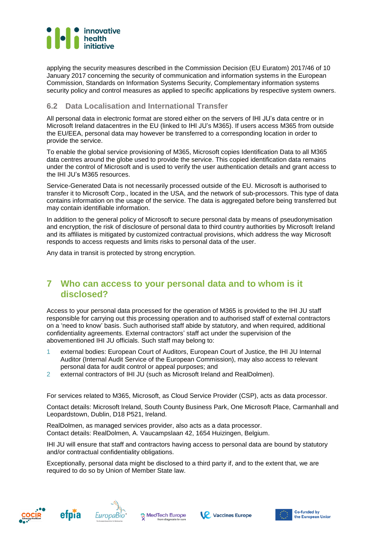

applying the security measures described in the Commission Decision (EU Euratom) 2017/46 of 10 January 2017 concerning the security of communication and information systems in the European Commission, Standards on Information Systems Security, Complementary information systems security policy and control measures as applied to specific applications by respective system owners.

#### **6.2 Data Localisation and International Transfer**

All personal data in electronic format are stored either on the servers of IHI JU's data centre or in Microsoft Ireland datacentres in the EU (linked to IHI JU's M365). If users access M365 from outside the EU/EEA, personal data may however be transferred to a corresponding location in order to provide the service.

To enable the global service provisioning of M365, Microsoft copies Identification Data to all M365 data centres around the globe used to provide the service. This copied identification data remains under the control of Microsoft and is used to verify the user authentication details and grant access to the IHI JU's M365 resources.

Service-Generated Data is not necessarily processed outside of the EU. Microsoft is authorised to transfer it to Microsoft Corp., located in the USA, and the network of sub-processors. This type of data contains information on the usage of the service. The data is aggregated before being transferred but may contain identifiable information.

In addition to the general policy of Microsoft to secure personal data by means of pseudonymisation and encryption, the risk of disclosure of personal data to third country authorities by Microsoft Ireland and its affiliates is mitigated by customized contractual provisions, which address the way Microsoft responds to access requests and limits risks to personal data of the user.

Any data in transit is protected by strong encryption.

### **7 Who can access to your personal data and to whom is it disclosed?**

Access to your personal data processed for the operation of M365 is provided to the IHI JU staff responsible for carrying out this processing operation and to authorised staff of external contractors on a 'need to know' basis. Such authorised staff abide by statutory, and when required, additional confidentiality agreements. External contractors' staff act under the supervision of the abovementioned IHI JU officials. Such staff may belong to:

- 1 external bodies: European Court of Auditors, European Court of Justice, the IHI JU Internal Auditor (Internal Audit Service of the European Commission), may also access to relevant personal data for audit control or appeal purposes; and
- 2 external contractors of IHI JU (such as Microsoft Ireland and RealDolmen).

For services related to M365, Microsoft, as Cloud Service Provider (CSP), acts as data processor.

Contact details: Microsoft Ireland, South County Business Park, One Microsoft Place, Carmanhall and Leopardstown, Dublin, D18 P521, Ireland.

RealDolmen, as managed services provider, also acts as a data processor. Contact details: RealDolmen, A. Vaucampslaan 42, 1654 Huizingen, Belgium.

IHI JU will ensure that staff and contractors having access to personal data are bound by statutory and/or contractual confidentiality obligations.

Exceptionally, personal data might be disclosed to a third party if, and to the extent that, we are required to do so by Union of Member State law.